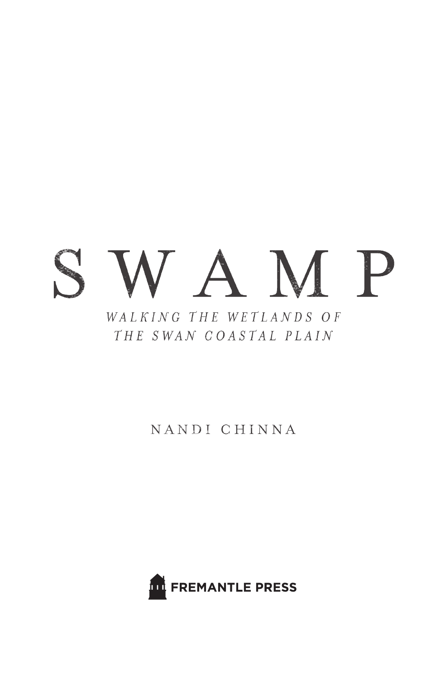# $\mathcal{L}^{\text{CCE}}$ VAMP WALKING THE WETLANDS OF THE SWAN COASTAL PLAIN

## NANDI CHINNA

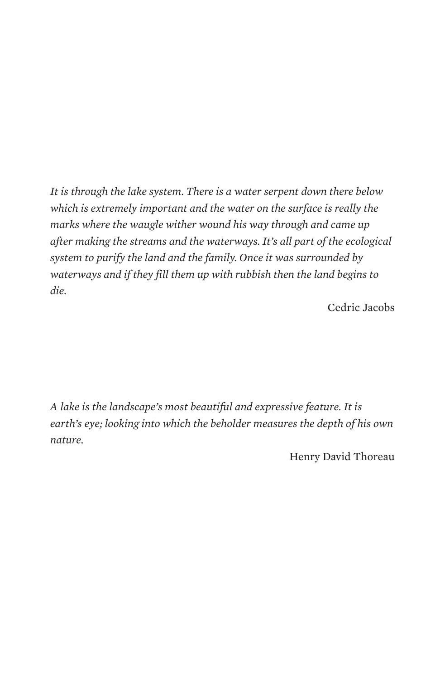*It is through the lake system. There is a water serpent down there below which is extremely important and the water on the surface is really the marks where the waugle wither wound his way through and came up after making the streams and the waterways. It's all part of the ecological system to purify the land and the family. Once it was surrounded by waterways and if they fill them up with rubbish then the land begins to die.* 

Cedric Jacobs

*A lake is the landscape's most beautiful and expressive feature. It is earth's eye; looking into which the beholder measures the depth of his own nature.*

Henry David Thoreau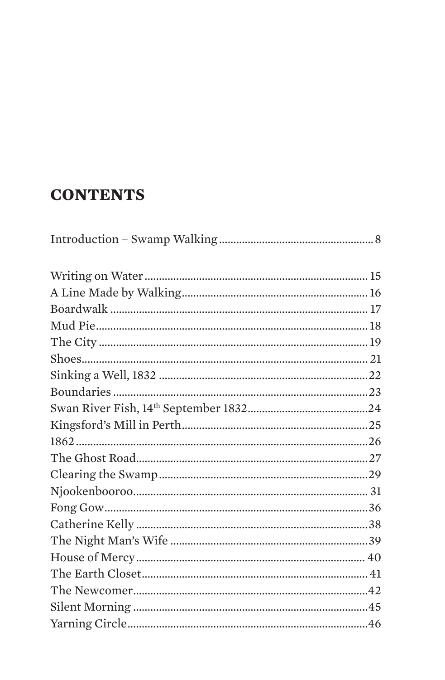# **CONTENTS**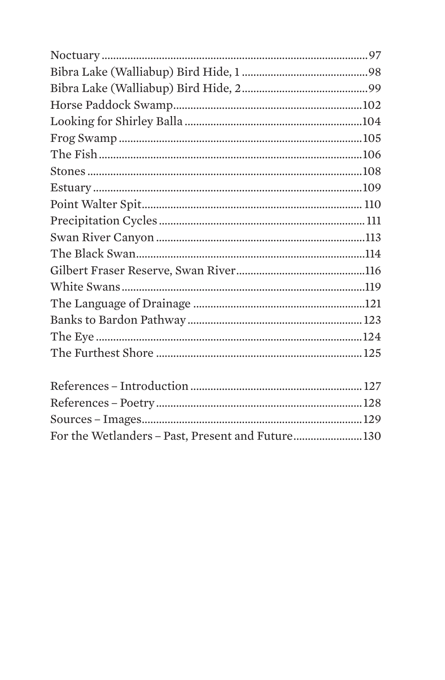| For the Wetlanders - Past, Present and Future130 |  |
|--------------------------------------------------|--|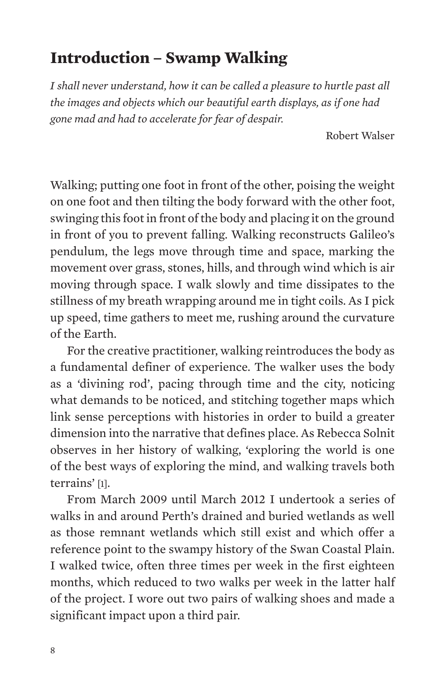## **Introduction – Swamp Walking**

*I shall never understand, how it can be called a pleasure to hurtle past all the images and objects which our beautiful earth displays, as if one had gone mad and had to accelerate for fear of despair.* 

Robert Walser

Walking; putting one foot in front of the other, poising the weight on one foot and then tilting the body forward with the other foot, swinging this foot in front of the body and placing it on the ground in front of you to prevent falling. Walking reconstructs Galileo's pendulum, the legs move through time and space, marking the movement over grass, stones, hills, and through wind which is air moving through space. I walk slowly and time dissipates to the stillness of my breath wrapping around me in tight coils. As I pick up speed, time gathers to meet me, rushing around the curvature of the Earth.

For the creative practitioner, walking reintroduces the body as a fundamental definer of experience. The walker uses the body as a 'divining rod', pacing through time and the city, noticing what demands to be noticed, and stitching together maps which link sense perceptions with histories in order to build a greater dimension into the narrative that defines place. As Rebecca Solnit observes in her history of walking, 'exploring the world is one of the best ways of exploring the mind, and walking travels both terrains' [1].

From March 2009 until March 2012 I undertook a series of walks in and around Perth's drained and buried wetlands as well as those remnant wetlands which still exist and which offer a reference point to the swampy history of the Swan Coastal Plain. I walked twice, often three times per week in the first eighteen months, which reduced to two walks per week in the latter half of the project. I wore out two pairs of walking shoes and made a significant impact upon a third pair.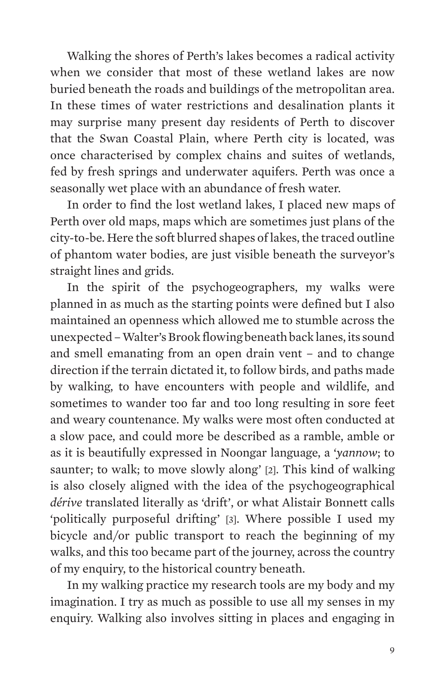Walking the shores of Perth's lakes becomes a radical activity when we consider that most of these wetland lakes are now buried beneath the roads and buildings of the metropolitan area. In these times of water restrictions and desalination plants it may surprise many present day residents of Perth to discover that the Swan Coastal Plain, where Perth city is located, was once characterised by complex chains and suites of wetlands, fed by fresh springs and underwater aquifers. Perth was once a seasonally wet place with an abundance of fresh water.

In order to find the lost wetland lakes, I placed new maps of Perth over old maps, maps which are sometimes just plans of the city-to-be. Here the soft blurred shapes of lakes, the traced outline of phantom water bodies, are just visible beneath the surveyor's straight lines and grids.

In the spirit of the psychogeographers, my walks were planned in as much as the starting points were defined but I also maintained an openness which allowed me to stumble across the unexpected – Walter's Brook flowing beneath back lanes, its sound and smell emanating from an open drain vent – and to change direction if the terrain dictated it, to follow birds, and paths made by walking, to have encounters with people and wildlife, and sometimes to wander too far and too long resulting in sore feet and weary countenance. My walks were most often conducted at a slow pace, and could more be described as a ramble, amble or as it is beautifully expressed in Noongar language, a '*yannow*; to saunter; to walk; to move slowly along' [2]. This kind of walking is also closely aligned with the idea of the psychogeographical *dérive* translated literally as 'drift', or what Alistair Bonnett calls 'politically purposeful drifting' [3]. Where possible I used my bicycle and/or public transport to reach the beginning of my walks, and this too became part of the journey, across the country of my enquiry, to the historical country beneath.

In my walking practice my research tools are my body and my imagination. I try as much as possible to use all my senses in my enquiry. Walking also involves sitting in places and engaging in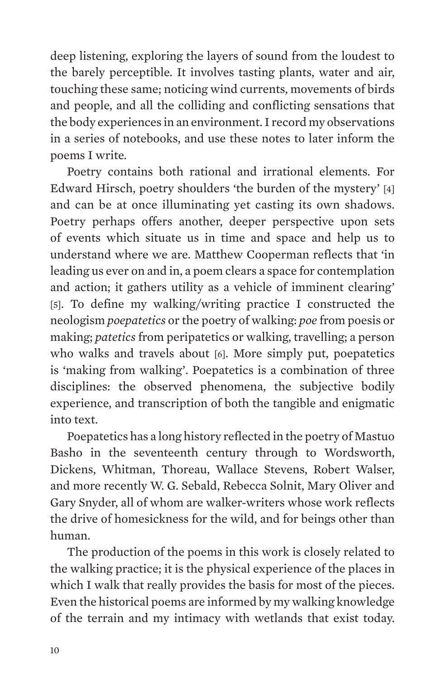deep listening, exploring the layers of sound from the loudest to the barely perceptible. It involves tasting plants, water and air, touching these same; noticing wind currents, movements of birds and people, and all the colliding and conflicting sensations that the body experiences in an environment. I record my observations in a series of notebooks, and use these notes to later inform the poems I write.

Poetry contains both rational and irrational elements. For Edward Hirsch, poetry shoulders 'the burden of the mystery' [4] and can be at once illuminating yet casting its own shadows. Poetry perhaps offers another, deeper perspective upon sets of events which situate us in time and space and help us to understand where we are. Matthew Cooperman reflects that 'in leading us ever on and in, a poem clears a space for contemplation and action; it gathers utility as a vehicle of imminent clearing' [5]. To define my walking/writing practice I constructed the neologism *poepatetics* or the poetry of walking: *poe* from poesis or making; *patetics* from peripatetics or walking, travelling; a person who walks and travels about [6]. More simply put, poepatetics is 'making from walking'. Poepatetics is a combination of three disciplines: the observed phenomena, the subjective bodily experience, and transcription of both the tangible and enigmatic into text.

Poepatetics has a long history reflected in the poetry of Mastuo Basho in the seventeenth century through to Wordsworth, Dickens, Whitman, Thoreau, Wallace Stevens, Robert Walser, and more recently W. G. Sebald, Rebecca Solnit, Mary Oliver and Gary Snyder, all of whom are walker-writers whose work reflects the drive of homesickness for the wild, and for beings other than human.

The production of the poems in this work is closely related to the walking practice; it is the physical experience of the places in which I walk that really provides the basis for most of the pieces. Even the historical poems are informed by my walking knowledge of the terrain and my intimacy with wetlands that exist today.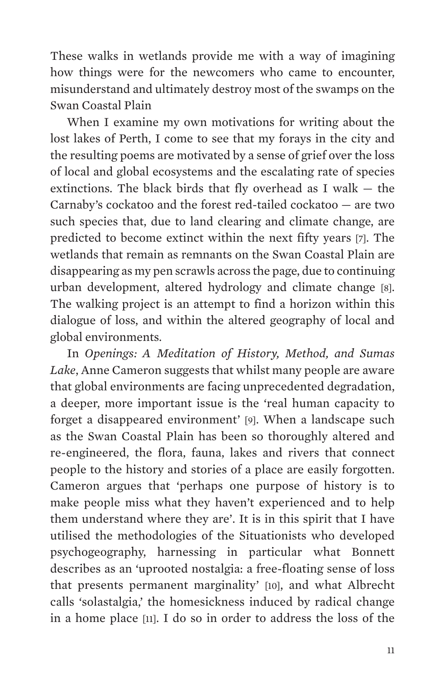These walks in wetlands provide me with a way of imagining how things were for the newcomers who came to encounter, misunderstand and ultimately destroy most of the swamps on the Swan Coastal Plain

When I examine my own motivations for writing about the lost lakes of Perth, I come to see that my forays in the city and the resulting poems are motivated by a sense of grief over the loss of local and global ecosystems and the escalating rate of species extinctions. The black birds that fly overhead as I walk — the Carnaby's cockatoo and the forest red-tailed cockatoo — are two such species that, due to land clearing and climate change, are predicted to become extinct within the next fifty years [7]. The wetlands that remain as remnants on the Swan Coastal Plain are disappearing as my pen scrawls across the page, due to continuing urban development, altered hydrology and climate change [8]. The walking project is an attempt to find a horizon within this dialogue of loss, and within the altered geography of local and global environments.

In *Openings: A Meditation of History, Method, and Sumas Lake*, Anne Cameron suggests that whilst many people are aware that global environments are facing unprecedented degradation, a deeper, more important issue is the 'real human capacity to forget a disappeared environment' [9]. When a landscape such as the Swan Coastal Plain has been so thoroughly altered and re-engineered, the flora, fauna, lakes and rivers that connect people to the history and stories of a place are easily forgotten. Cameron argues that 'perhaps one purpose of history is to make people miss what they haven't experienced and to help them understand where they are'. It is in this spirit that I have utilised the methodologies of the Situationists who developed psychogeography, harnessing in particular what Bonnett describes as an 'uprooted nostalgia: a free-floating sense of loss that presents permanent marginality' [10], and what Albrecht calls 'solastalgia,' the homesickness induced by radical change in a home place [11]. I do so in order to address the loss of the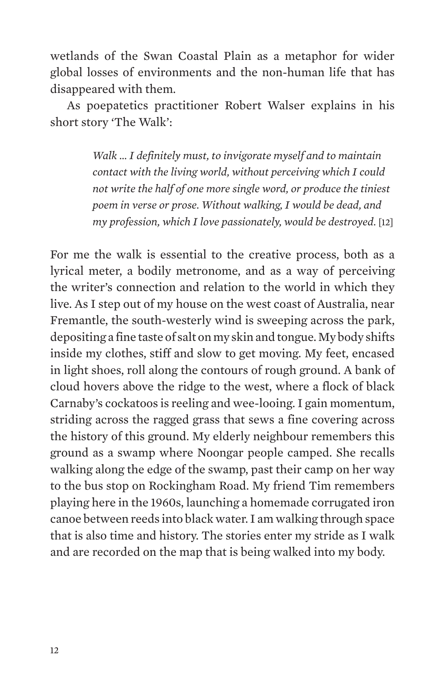wetlands of the Swan Coastal Plain as a metaphor for wider global losses of environments and the non-human life that has disappeared with them.

As poepatetics practitioner Robert Walser explains in his short story 'The Walk':

> *Walk … I definitely must, to invigorate myself and to maintain contact with the living world, without perceiving which I could not write the half of one more single word, or produce the tiniest poem in verse or prose. Without walking, I would be dead, and my profession, which I love passionately, would be destroyed*. [12]

For me the walk is essential to the creative process, both as a lyrical meter, a bodily metronome, and as a way of perceiving the writer's connection and relation to the world in which they live. As I step out of my house on the west coast of Australia, near Fremantle, the south-westerly wind is sweeping across the park, depositing a fine taste of salt on my skin and tongue. My body shifts inside my clothes, stiff and slow to get moving. My feet, encased in light shoes, roll along the contours of rough ground. A bank of cloud hovers above the ridge to the west, where a flock of black Carnaby's cockatoos is reeling and wee-looing. I gain momentum, striding across the ragged grass that sews a fine covering across the history of this ground. My elderly neighbour remembers this ground as a swamp where Noongar people camped. She recalls walking along the edge of the swamp, past their camp on her way to the bus stop on Rockingham Road. My friend Tim remembers playing here in the 1960s, launching a homemade corrugated iron canoe between reeds into black water. I am walking through space that is also time and history. The stories enter my stride as I walk and are recorded on the map that is being walked into my body.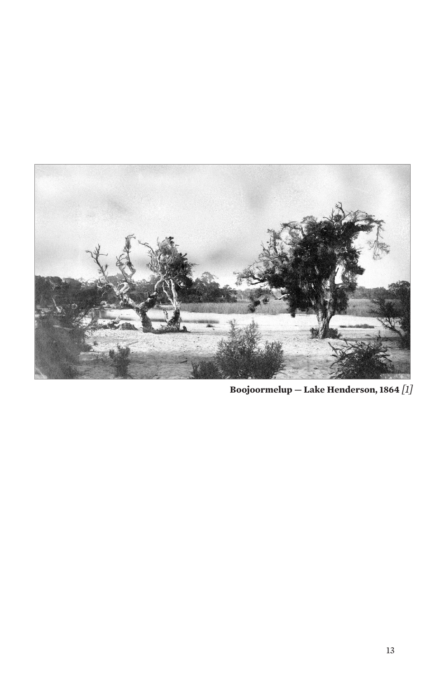

**Boojoormelup — Lake Henderson, 1864** *[1]*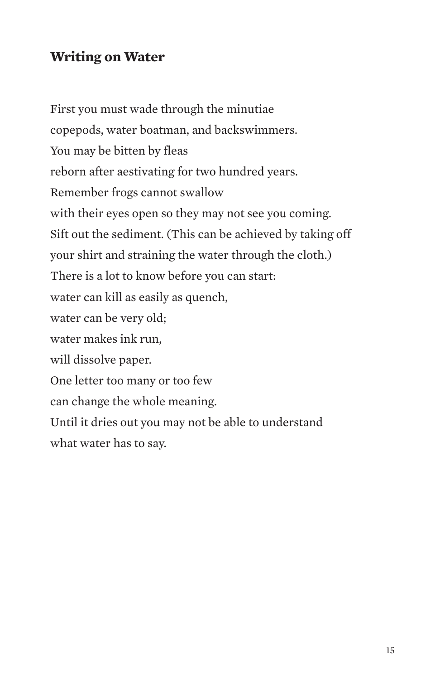## **Writing on Water**

First you must wade through the minutiae copepods, water boatman, and backswimmers. You may be bitten by fleas reborn after aestivating for two hundred years. Remember frogs cannot swallow with their eyes open so they may not see you coming. Sift out the sediment. (This can be achieved by taking off your shirt and straining the water through the cloth.) There is a lot to know before you can start: water can kill as easily as quench, water can be very old; water makes ink run, will dissolve paper. One letter too many or too few can change the whole meaning. Until it dries out you may not be able to understand what water has to say.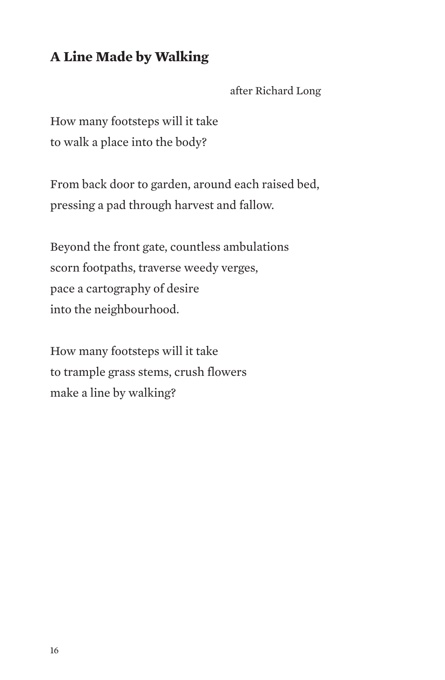## **A Line Made by Walking**

after Richard Long

How many footsteps will it take to walk a place into the body?

From back door to garden, around each raised bed, pressing a pad through harvest and fallow.

Beyond the front gate, countless ambulations scorn footpaths, traverse weedy verges, pace a cartography of desire into the neighbourhood.

How many footsteps will it take to trample grass stems, crush flowers make a line by walking?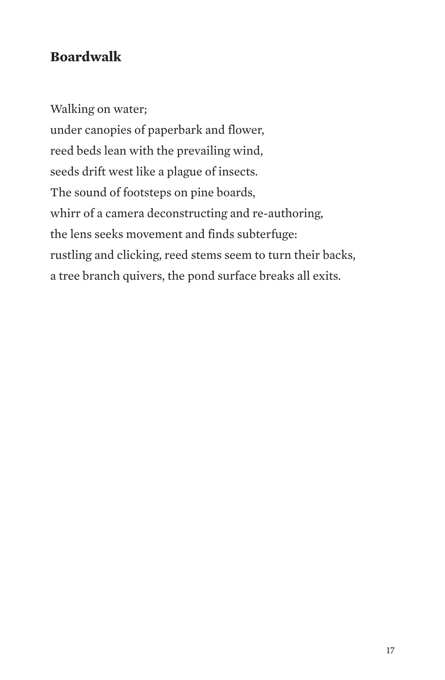## **Boardwalk**

Walking on water; under canopies of paperbark and flower, reed beds lean with the prevailing wind, seeds drift west like a plague of insects. The sound of footsteps on pine boards, whirr of a camera deconstructing and re-authoring, the lens seeks movement and finds subterfuge: rustling and clicking, reed stems seem to turn their backs, a tree branch quivers, the pond surface breaks all exits.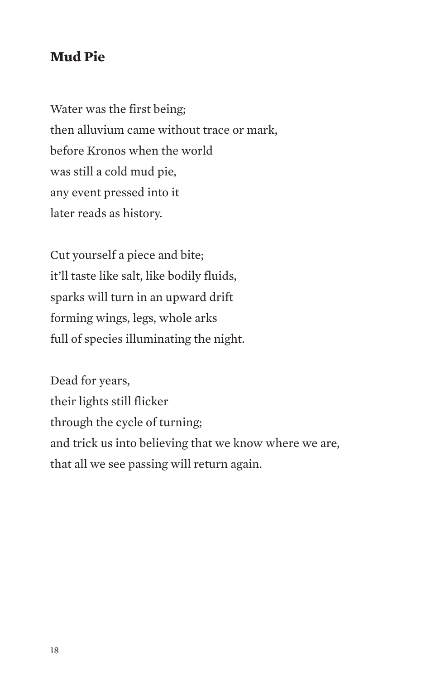#### **Mud Pie**

Water was the first being; then alluvium came without trace or mark, before Kronos when the world was still a cold mud pie, any event pressed into it later reads as history.

Cut yourself a piece and bite; it'll taste like salt, like bodily fluids, sparks will turn in an upward drift forming wings, legs, whole arks full of species illuminating the night.

Dead for years, their lights still flicker through the cycle of turning; and trick us into believing that we know where we are, that all we see passing will return again.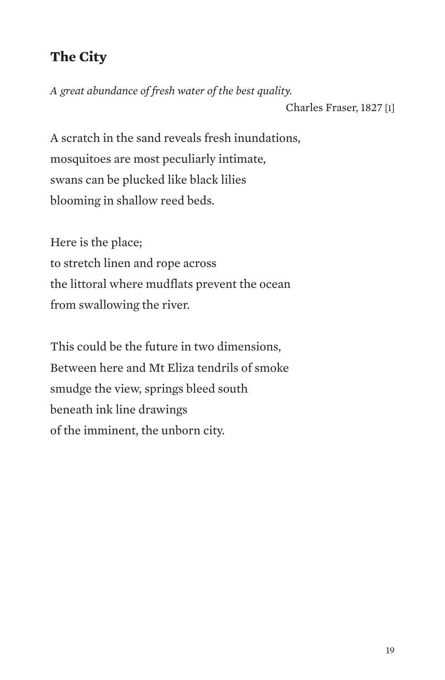## **The City**

*A great abundance of fresh water of the best quality.* Charles Fraser, 1827 [1]

A scratch in the sand reveals fresh inundations, mosquitoes are most peculiarly intimate, swans can be plucked like black lilies blooming in shallow reed beds.

Here is the place; to stretch linen and rope across the littoral where mudflats prevent the ocean from swallowing the river.

This could be the future in two dimensions, Between here and Mt Eliza tendrils of smoke smudge the view, springs bleed south beneath ink line drawings of the imminent, the unborn city.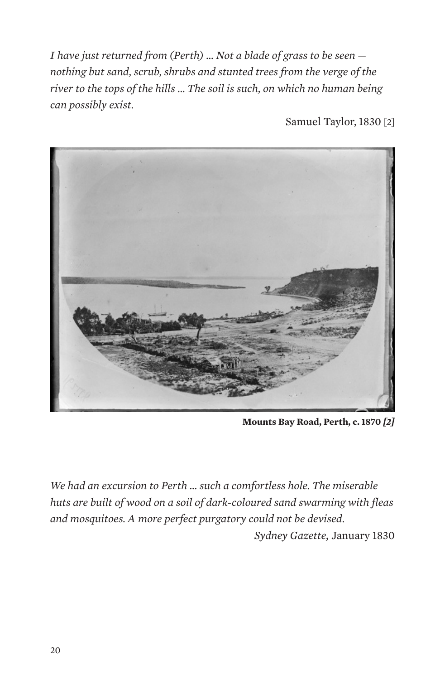*I have just returned from (Perth) … Not a blade of grass to be seen nothing but sand, scrub, shrubs and stunted trees from the verge of the river to the tops of the hills … The soil is such, on which no human being can possibly exist.* 

Samuel Taylor, 1830 [2]



**Mounts Bay Road, Perth, c. 1870** *[2]*

*We had an excursion to Perth … such a comfortless hole. The miserable huts are built of wood on a soil of dark-coloured sand swarming with fleas and mosquitoes. A more perfect purgatory could not be devised.* 

*Sydney Gazette,* January 1830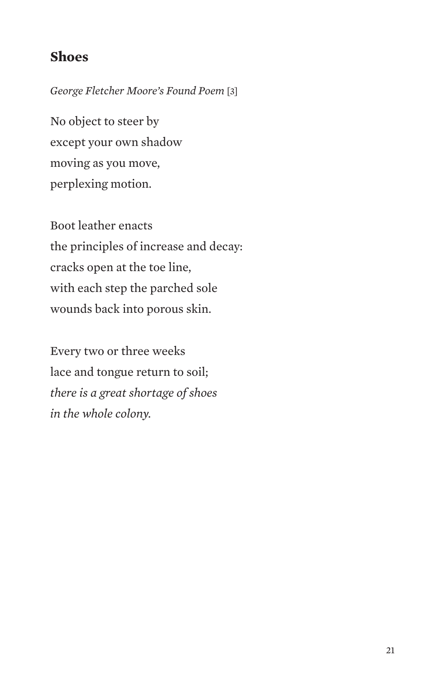#### **Shoes**

*George Fletcher Moore's Found Poem* [3]

No object to steer by except your own shadow moving as you move, perplexing motion.

Boot leather enacts the principles of increase and decay: cracks open at the toe line, with each step the parched sole wounds back into porous skin.

Every two or three weeks lace and tongue return to soil; *there is a great shortage of shoes in the whole colony.*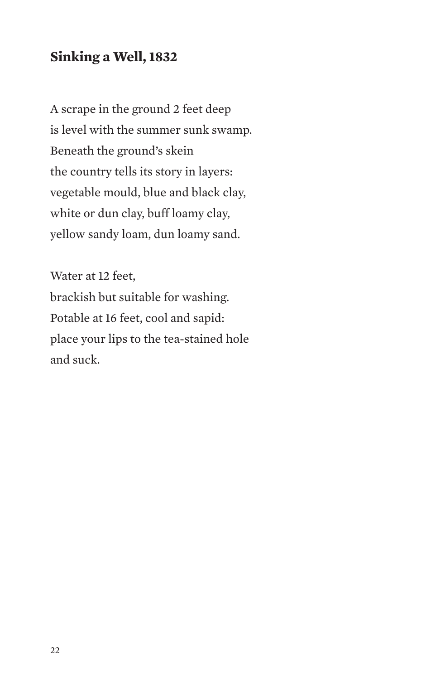## **Sinking a Well, 1832**

A scrape in the ground 2 feet deep is level with the summer sunk swamp. Beneath the ground's skein the country tells its story in layers: vegetable mould, blue and black clay, white or dun clay, buff loamy clay, yellow sandy loam, dun loamy sand.

Water at 12 feet, brackish but suitable for washing. Potable at 16 feet, cool and sapid: place your lips to the tea-stained hole and suck.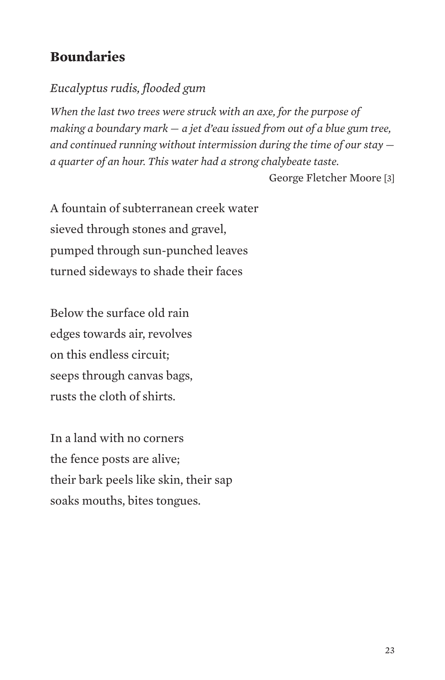## **Boundaries**

#### *Eucalyptus rudis, flooded gum*

*When the last two trees were struck with an axe, for the purpose of making a boundary mark — a jet d'eau issued from out of a blue gum tree, and continued running without intermission during the time of our stay a quarter of an hour. This water had a strong chalybeate taste.*

George Fletcher Moore [3]

A fountain of subterranean creek water sieved through stones and gravel, pumped through sun-punched leaves turned sideways to shade their faces

Below the surface old rain edges towards air, revolves on this endless circuit; seeps through canvas bags, rusts the cloth of shirts.

In a land with no corners the fence posts are alive; their bark peels like skin, their sap soaks mouths, bites tongues.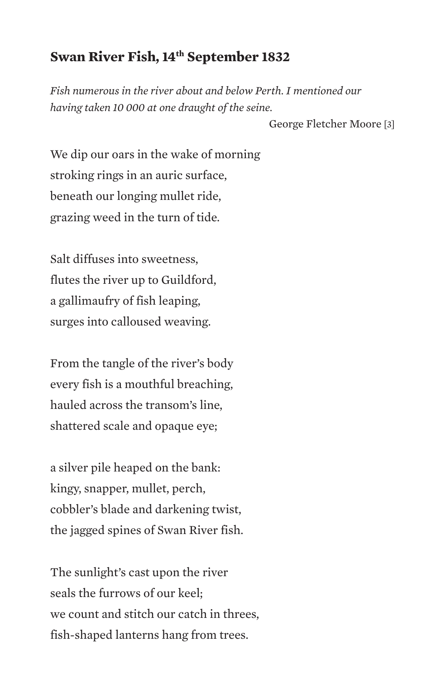#### **Swan River Fish, 14th September 1832**

*Fish numerous in the river about and below Perth. I mentioned our having taken 10 000 at one draught of the seine.*

George Fletcher Moore [3]

We dip our oars in the wake of morning stroking rings in an auric surface, beneath our longing mullet ride, grazing weed in the turn of tide.

Salt diffuses into sweetness, flutes the river up to Guildford, a gallimaufry of fish leaping, surges into calloused weaving.

From the tangle of the river's body every fish is a mouthful breaching, hauled across the transom's line, shattered scale and opaque eye;

a silver pile heaped on the bank: kingy, snapper, mullet, perch, cobbler's blade and darkening twist, the jagged spines of Swan River fish.

The sunlight's cast upon the river seals the furrows of our keel; we count and stitch our catch in threes, fish-shaped lanterns hang from trees.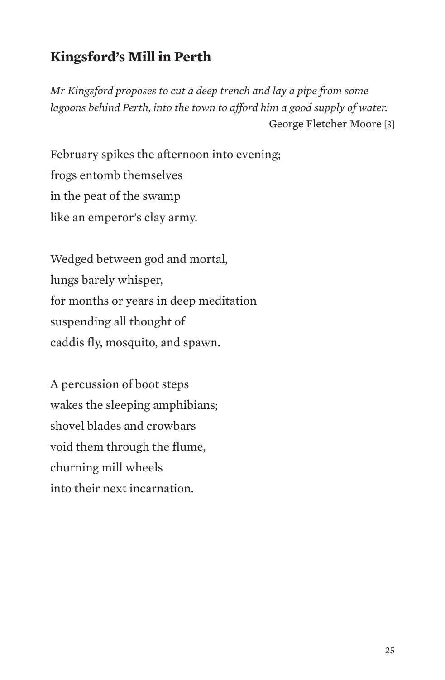## **Kingsford's Mill in Perth**

*Mr Kingsford proposes to cut a deep trench and lay a pipe from some*  lagoons behind Perth, into the town to afford him a good supply of water. George Fletcher Moore [3]

February spikes the afternoon into evening; frogs entomb themselves in the peat of the swamp like an emperor's clay army.

Wedged between god and mortal, lungs barely whisper, for months or years in deep meditation suspending all thought of caddis fly, mosquito, and spawn.

A percussion of boot steps wakes the sleeping amphibians; shovel blades and crowbars void them through the flume, churning mill wheels into their next incarnation.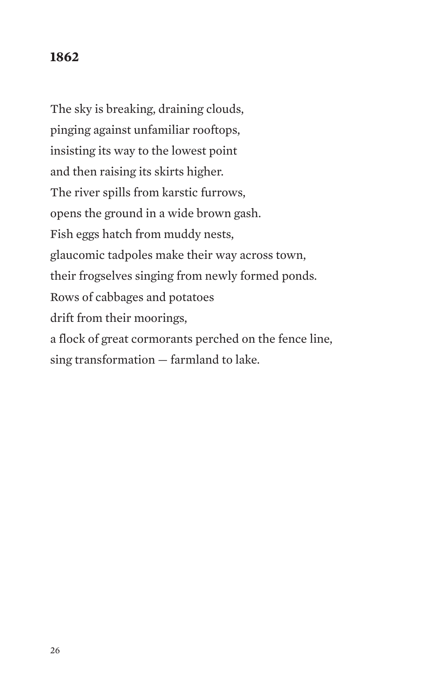#### **1862**

The sky is breaking, draining clouds, pinging against unfamiliar rooftops, insisting its way to the lowest point and then raising its skirts higher. The river spills from karstic furrows, opens the ground in a wide brown gash. Fish eggs hatch from muddy nests, glaucomic tadpoles make their way across town, their frogselves singing from newly formed ponds. Rows of cabbages and potatoes drift from their moorings, a flock of great cormorants perched on the fence line, sing transformation — farmland to lake.